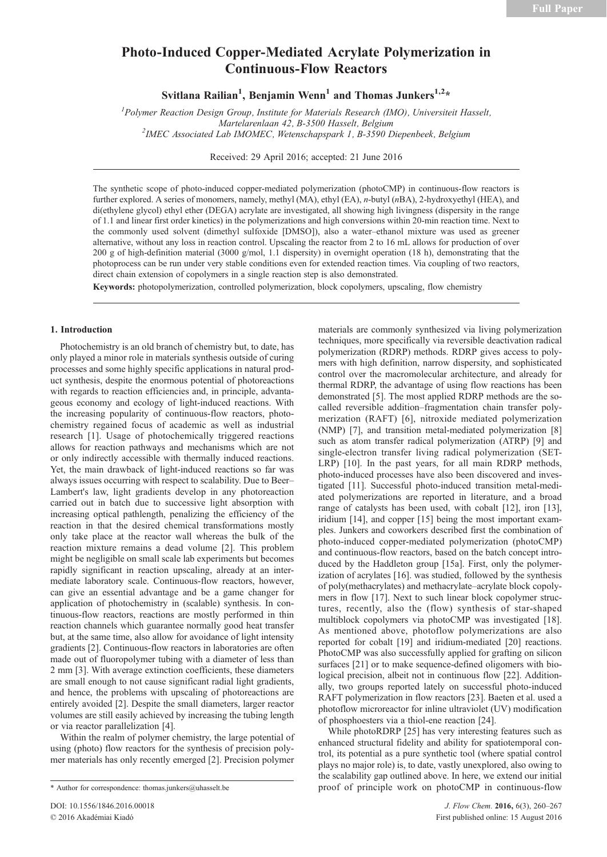# Photo-Induced Copper-Mediated Acrylate Polymerization in Continuous-Flow Reactors

Svitlana Railian<sup>1</sup>, Benjamin Wenn<sup>1</sup> and Thomas Junkers<sup>1,2</sup>\*

<sup>1</sup>Polymer Reaction Design Group, Institute for Materials Research (IMO), Universiteit Hasselt, Martelarenlaan 42, B-3500 Hasselt, Belgium<br><sup>2</sup>IMEC Associated Lab IMOMEC, Wetenschapspark 1, B-3590 Diepenbeek, Belgium

Received: 29 April 2016; accepted: 21 June 2016

The synthetic scope of photo-induced copper-mediated polymerization (photoCMP) in continuous-flow reactors is further explored. A series of monomers, namely, methyl (MA), ethyl (EA), n-butyl (nBA), 2-hydroxyethyl (HEA), and di(ethylene glycol) ethyl ether (DEGA) acrylate are investigated, all showing high livingness (dispersity in the range of 1.1 and linear first order kinetics) in the polymerizations and high conversions within 20-min reaction time. Next to the commonly used solvent (dimethyl sulfoxide [DMSO]), also a water–ethanol mixture was used as greener alternative, without any loss in reaction control. Upscaling the reactor from 2 to 16 mL allows for production of over 200 g of high-definition material (3000 g/mol, 1.1 dispersity) in overnight operation (18 h), demonstrating that the photoprocess can be run under very stable conditions even for extended reaction times. Via coupling of two reactors, direct chain extension of copolymers in a single reaction step is also demonstrated.

Keywords: photopolymerization, controlled polymerization, block copolymers, upscaling, flow chemistry

## 1. Introduction

Photochemistry is an old branch of chemistry but, to date, has only played a minor role in materials synthesis outside of curing processes and some highly specific applications in natural product synthesis, despite the enormous potential of photoreactions with regards to reaction efficiencies and, in principle, advantageous economy and ecology of light-induced reactions. With the increasing popularity of continuous-flow reactors, photochemistry regained focus of academic as well as industrial research [1]. Usage of photochemically triggered reactions allows for reaction pathways and mechanisms which are not or only indirectly accessible with thermally induced reactions. Yet, the main drawback of light-induced reactions so far was always issues occurring with respect to scalability. Due to Beer– Lambert's law, light gradients develop in any photoreaction carried out in batch due to successive light absorption with increasing optical pathlength, penalizing the efficiency of the reaction in that the desired chemical transformations mostly only take place at the reactor wall whereas the bulk of the reaction mixture remains a dead volume [2]. This problem might be negligible on small scale lab experiments but becomes rapidly significant in reaction upscaling, already at an intermediate laboratory scale. Continuous-flow reactors, however, can give an essential advantage and be a game changer for application of photochemistry in (scalable) synthesis. In continuous-flow reactors, reactions are mostly performed in thin reaction channels which guarantee normally good heat transfer but, at the same time, also allow for avoidance of light intensity gradients [2]. Continuous-flow reactors in laboratories are often made out of fluoropolymer tubing with a diameter of less than 2 mm [3]. With average extinction coefficients, these diameters are small enough to not cause significant radial light gradients, and hence, the problems with upscaling of photoreactions are entirely avoided [2]. Despite the small diameters, larger reactor volumes are still easily achieved by increasing the tubing length or via reactor parallelization [4].

Within the realm of polymer chemistry, the large potential of using (photo) flow reactors for the synthesis of precision polymer materials has only recently emerged [2]. Precision polymer

materials are commonly synthesized via living polymerization techniques, more specifically via reversible deactivation radical polymerization (RDRP) methods. RDRP gives access to polymers with high definition, narrow dispersity, and sophisticated control over the macromolecular architecture, and already for thermal RDRP, the advantage of using flow reactions has been demonstrated [5]. The most applied RDRP methods are the socalled reversible addition–fragmentation chain transfer polymerization (RAFT) [6], nitroxide mediated polymerization (NMP) [7], and transition metal-mediated polymerization [8] such as atom transfer radical polymerization (ATRP) [9] and single-electron transfer living radical polymerization (SET-LRP) [10]. In the past years, for all main RDRP methods, photo-induced processes have also been discovered and investigated [11]. Successful photo-induced transition metal-mediated polymerizations are reported in literature, and a broad range of catalysts has been used, with cobalt [12], iron [13], iridium [14], and copper [15] being the most important examples. Junkers and coworkers described first the combination of photo-induced copper-mediated polymerization (photoCMP) and continuous-flow reactors, based on the batch concept introduced by the Haddleton group [15a]. First, only the polymerization of acrylates [16]. was studied, followed by the synthesis of poly(methacrylates) and methacrylate–acrylate block copolymers in flow [17]. Next to such linear block copolymer structures, recently, also the (flow) synthesis of star-shaped multiblock copolymers via photoCMP was investigated [18]. As mentioned above, photoflow polymerizations are also reported for cobalt [19] and iridium-mediated [20] reactions. PhotoCMP was also successfully applied for grafting on silicon surfaces [21] or to make sequence-defined oligomers with biological precision, albeit not in continuous flow [22]. Additionally, two groups reported lately on successful photo-induced RAFT polymerization in flow reactors [23]. Baeten et al. used a photoflow microreactor for inline ultraviolet (UV) modification of phosphoesters via a thiol-ene reaction [24].

While photoRDRP [25] has very interesting features such as enhanced structural fidelity and ability for spatiotemporal control, its potential as a pure synthetic tool (where spatial control plays no major role) is, to date, vastly unexplored, also owing to the scalability gap outlined above. In here, we extend our initial \* Author for correspondence: thomas.junkers@uhasselt.be proof of principle work on photoCMP in continuous-flow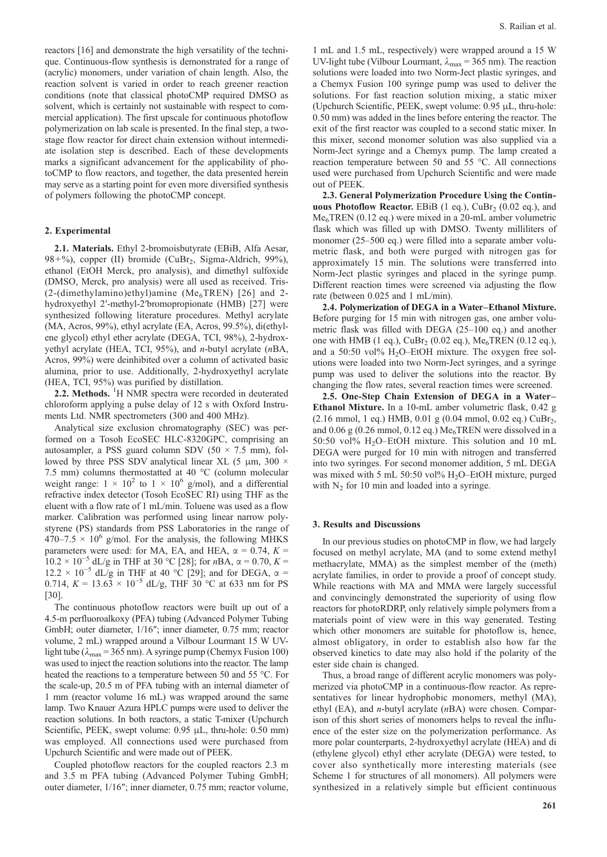reactors [16] and demonstrate the high versatility of the technique. Continuous-flow synthesis is demonstrated for a range of (acrylic) monomers, under variation of chain length. Also, the reaction solvent is varied in order to reach greener reaction conditions (note that classical photoCMP required DMSO as solvent, which is certainly not sustainable with respect to commercial application). The first upscale for continuous photoflow polymerization on lab scale is presented. In the final step, a twostage flow reactor for direct chain extension without intermediate isolation step is described. Each of these developments marks a significant advancement for the applicability of photoCMP to flow reactors, and together, the data presented herein may serve as a starting point for even more diversified synthesis of polymers following the photoCMP concept.

## 2. Experimental

2.1. Materials. Ethyl 2-bromoisbutyrate (EBiB, Alfa Aesar, 98+%), copper (II) bromide (CuBr<sub>2</sub>, Sigma-Aldrich, 99%), ethanol (EtOH Merck, pro analysis), and dimethyl sulfoxide (DMSO, Merck, pro analysis) were all used as received. Tris-  $(2-(dimension)ethyl)$ amine (Me<sub>6</sub>TREN) [26] and 2hydroxyethyl 2′-methyl-2′bromopropionate (HMB) [27] were synthesized following literature procedures. Methyl acrylate (MA, Acros, 99%), ethyl acrylate (EA, Acros, 99.5%), di(ethylene glycol) ethyl ether acrylate (DEGA, TCI, 98%), 2-hydroxyethyl acrylate (HEA, TCI, 95%), and n-butyl acrylate (nBA, Acros, 99%) were deinhibited over a column of activated basic alumina, prior to use. Additionally, 2-hydroxyethyl acrylate (HEA, TCI, 95%) was purified by distillation.

2.2. Methods. <sup>1</sup>H NMR spectra were recorded in deuterated chloroform applying a pulse delay of 12 s with Oxford Instruments Ltd. NMR spectrometers (300 and 400 MHz).

Analytical size exclusion chromatography (SEC) was performed on a Tosoh EcoSEC HLC-8320GPC, comprising an autosampler, a PSS guard column SDV ( $50 \times 7.5$  mm), followed by three PSS SDV analytical linear XL (5  $\mu$ m, 300  $\times$ 7.5 mm) columns thermostatted at 40 °C (column molecular weight range:  $1 \times 10^2$  to  $1 \times 10^6$  g/mol), and a differential refractive index detector (Tosoh EcoSEC RI) using THF as the eluent with a flow rate of 1 mL/min. Toluene was used as a flow marker. Calibration was performed using linear narrow polystyrene (PS) standards from PSS Laboratories in the range of  $470-7.5 \times 10^6$  g/mol. For the analysis, the following MHKS parameters were used: for MA, EA, and HEA,  $\alpha = 0.74$ ,  $K =$  $10.2 \times 10^{-5}$  dL/g in THF at 30 °C [28]; for nBA,  $\alpha = 0.70$ , K = 12.2 × 10<sup>-5</sup> dL<sup> $\bar{Q}$ </sup>g in THF at 40 °C [29]; and for DEGA,  $\alpha$  = 0.714,  $K = 13.63 \times 10^{-5}$  dL/g, THF 30 °C at 633 nm for PS [30].

The continuous photoflow reactors were built up out of a 4.5-m perfluoroalkoxy (PFA) tubing (Advanced Polymer Tubing GmbH; outer diameter, 1/16″; inner diameter, 0.75 mm; reactor volume, 2 mL) wrapped around a Vilbour Lourmant 15 W UVlight tube ( $\lambda_{\text{max}}$  = 365 nm). A syringe pump (Chemyx Fusion 100) was used to inject the reaction solutions into the reactor. The lamp heated the reactions to a temperature between 50 and 55 °C. For the scale-up, 20.5 m of PFA tubing with an internal diameter of 1 mm (reactor volume 16 mL) was wrapped around the same lamp. Two Knauer Azura HPLC pumps were used to deliver the reaction solutions. In both reactors, a static T-mixer (Upchurch Scientific, PEEK, swept volume: 0.95 μL, thru-hole: 0.50 mm) was employed. All connections used were purchased from Upchurch Scientific and were made out of PEEK.

Coupled photoflow reactors for the coupled reactors 2.3 m and 3.5 m PFA tubing (Advanced Polymer Tubing GmbH; outer diameter, 1/16″; inner diameter, 0.75 mm; reactor volume,

1 mL and 1.5 mL, respectively) were wrapped around a 15 W UV-light tube (Vilbour Lourmant,  $\lambda_{\text{max}} = 365 \text{ nm}$ ). The reaction solutions were loaded into two Norm-Ject plastic syringes, and a Chemyx Fusion 100 syringe pump was used to deliver the solutions. For fast reaction solution mixing, a static mixer (Upchurch Scientific, PEEK, swept volume: 0.95 μL, thru-hole: 0.50 mm) was added in the lines before entering the reactor. The exit of the first reactor was coupled to a second static mixer. In this mixer, second monomer solution was also supplied via a Norm-Ject syringe and a Chemyx pump. The lamp created a reaction temperature between 50 and 55 °C. All connections used were purchased from Upchurch Scientific and were made out of PEEK.

2.3. General Polymerization Procedure Using the Continuous Photoflow Reactor. EBiB (1 eq.),  $CuBr<sub>2</sub>$  (0.02 eq.), and Me<sub>6</sub>TREN (0.12 eq.) were mixed in a 20-mL amber volumetric flask which was filled up with DMSO. Twenty milliliters of monomer (25–500 eq.) were filled into a separate amber volumetric flask, and both were purged with nitrogen gas for approximately 15 min. The solutions were transferred into Norm-Ject plastic syringes and placed in the syringe pump. Different reaction times were screened via adjusting the flow rate (between 0.025 and 1 mL/min).

2.4. Polymerization of DEGA in a Water–Ethanol Mixture. Before purging for 15 min with nitrogen gas, one amber volumetric flask was filled with DEGA (25–100 eq.) and another one with HMB (1 eq.),  $CuBr_2 (0.02 \text{ eq.})$ ,  $Me_6$ TREN (0.12 eq.), and a 50:50 vol%  $H_2O$ –EtOH mixture. The oxygen free solutions were loaded into two Norm-Ject syringes, and a syringe pump was used to deliver the solutions into the reactor. By changing the flow rates, several reaction times were screened.

2.5. One-Step Chain Extension of DEGA in a Water– Ethanol Mixture. In a 10-mL amber volumetric flask, 0.42 g  $(2.16 \text{ mmol}, 1 \text{ eq.})$  HMB,  $0.01 \text{ g}$   $(0.04 \text{ mmol}, 0.02 \text{ eq.})$  CuBr<sub>2</sub>, and  $0.06$  g (0.26 mmol, 0.12 eq.) Me<sub>6</sub>TREN were dissolved in a 50:50 vol% H2O–EtOH mixture. This solution and 10 mL DEGA were purged for 10 min with nitrogen and transferred into two syringes. For second monomer addition, 5 mL DEGA was mixed with 5 mL 50:50 vol% H<sub>2</sub>O–EtOH mixture, purged with  $N_2$  for 10 min and loaded into a syringe.

### 3. Results and Discussions

In our previous studies on photoCMP in flow, we had largely focused on methyl acrylate, MA (and to some extend methyl methacrylate, MMA) as the simplest member of the (meth) acrylate families, in order to provide a proof of concept study. While reactions with MA and MMA were largely successful and convincingly demonstrated the superiority of using flow reactors for photoRDRP, only relatively simple polymers from a materials point of view were in this way generated. Testing which other monomers are suitable for photoflow is, hence, almost obligatory, in order to establish also how far the observed kinetics to date may also hold if the polarity of the ester side chain is changed.

Thus, a broad range of different acrylic monomers was polymerized via photoCMP in a continuous-flow reactor. As representatives for linear hydrophobic monomers, methyl (MA), ethyl (EA), and n-butyl acrylate (nBA) were chosen. Comparison of this short series of monomers helps to reveal the influence of the ester size on the polymerization performance. As more polar counterparts, 2-hydroxyethyl acrylate (HEA) and di (ethylene glycol) ethyl ether acrylate (DEGA) were tested, to cover also synthetically more interesting materials (see Scheme 1 for structures of all monomers). All polymers were synthesized in a relatively simple but efficient continuous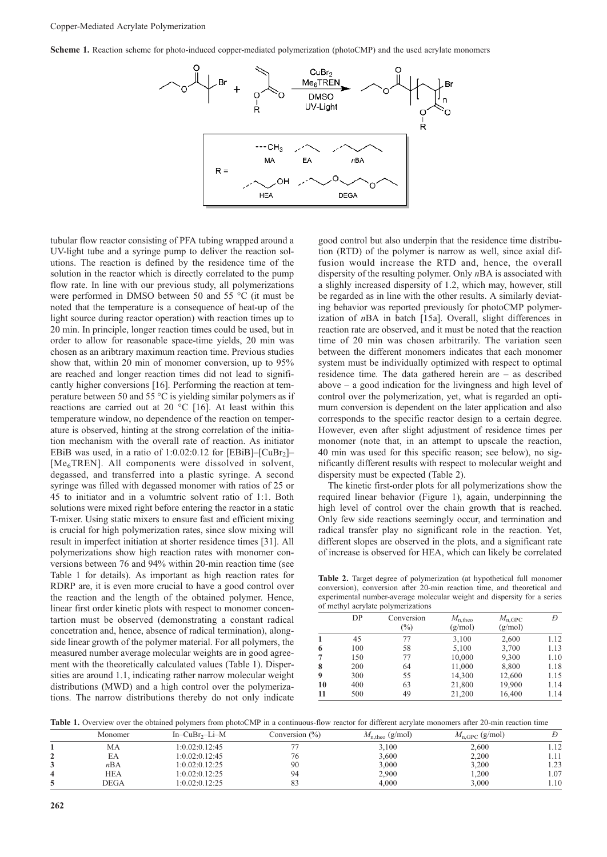Scheme 1. Reaction scheme for photo-induced copper-mediated polymerization (photoCMP) and the used acrylate monomers



tubular flow reactor consisting of PFA tubing wrapped around a UV-light tube and a syringe pump to deliver the reaction solutions. The reaction is defined by the residence time of the solution in the reactor which is directly correlated to the pump flow rate. In line with our previous study, all polymerizations were performed in DMSO between 50 and 55 °C (it must be noted that the temperature is a consequence of heat-up of the light source during reactor operation) with reaction times up to 20 min. In principle, longer reaction times could be used, but in order to allow for reasonable space-time yields, 20 min was chosen as an aribtrary maximum reaction time. Previous studies show that, within 20 min of monomer conversion, up to 95% are reached and longer reaction times did not lead to significantly higher conversions [16]. Performing the reaction at temperature between 50 and 55 °C is yielding similar polymers as if reactions are carried out at 20 °C [16]. At least within this temperature window, no dependence of the reaction on temperature is observed, hinting at the strong correlation of the initiation mechanism with the overall rate of reaction. As initiator EBiB was used, in a ratio of  $1:0.02:0.12$  for  $[EBiB]$ – $[CuBr<sub>2</sub>]$ – [ $Me<sub>6</sub>TREN$ ]. All components were dissolved in solvent, degassed, and transferred into a plastic syringe. A second syringe was filled with degassed monomer with ratios of 25 or 45 to initiator and in a volumtric solvent ratio of 1:1. Both solutions were mixed right before entering the reactor in a static T-mixer. Using static mixers to ensure fast and efficient mixing is crucial for high polymerization rates, since slow mixing will result in imperfect initiation at shorter residence times [31]. All polymerizations show high reaction rates with monomer conversions between 76 and 94% within 20-min reaction time (see Table 1 for details). As important as high reaction rates for RDRP are, it is even more crucial to have a good control over the reaction and the length of the obtained polymer. Hence, linear first order kinetic plots with respect to monomer concentartion must be observed (demonstrating a constant radical concetration and, hence, absence of radical termination), alongside linear growth of the polymer material. For all polymers, the measured number average molecular weights are in good agreement with the theoretically calculated values (Table 1). Dispersities are around 1.1, indicating rather narrow molecular weight distributions (MWD) and a high control over the polymerizations. The narrow distributions thereby do not only indicate

good control but also underpin that the residence time distribution (RTD) of the polymer is narrow as well, since axial diffusion would increase the RTD and, hence, the overall dispersity of the resulting polymer. Only nBA is associated with a slighly increased dispersity of 1.2, which may, however, still be regarded as in line with the other results. A similarly deviating behavior was reported previously for photoCMP polymerization of nBA in batch [15a]. Overall, slight differences in reaction rate are observed, and it must be noted that the reaction time of 20 min was chosen arbitrarily. The variation seen between the different monomers indicates that each monomer system must be individually optimized with respect to optimal residence time. The data gathered herein are – as described above – a good indication for the livingness and high level of control over the polymerization, yet, what is regarded an optimum conversion is dependent on the later application and also corresponds to the specific reactor design to a certain degree. However, even after slight adjustment of residence times per monomer (note that, in an attempt to upscale the reaction, 40 min was used for this specific reason; see below), no significantly different results with respect to molecular weight and dispersity must be expected (Table 2).

The kinetic first-order plots for all polymerizations show the required linear behavior (Figure 1), again, underpinning the high level of control over the chain growth that is reached. Only few side reactions seemingly occur, and termination and radical transfer play no significant role in the reaction. Yet, different slopes are observed in the plots, and a significant rate of increase is observed for HEA, which can likely be correlated

Table 2. Target degree of polymerization (at hypothetical full monomer conversion), conversion after 20-min reaction time, and theoretical and experimental number-average molecular weight and dispersity for a series of methyl acrylate polymerizations

|    | DP  | Conversion<br>$(\%)$ | $M_{\rm n, theo}$<br>(g/mol) | $M_{\rm n, GPC}$<br>(g/mol) | Ð    |
|----|-----|----------------------|------------------------------|-----------------------------|------|
| 1  | 45  | 77                   | 3,100                        | 2,600                       | 1.12 |
| 6  | 100 | 58                   | 5,100                        | 3,700                       | 1.13 |
|    | 150 | 77                   | 10,000                       | 9,300                       | 1.10 |
| 8  | 200 | 64                   | 11,000                       | 8,800                       | 1.18 |
| 9  | 300 | 55                   | 14,300                       | 12,600                      | 1.15 |
| 10 | 400 | 63                   | 21,800                       | 19,900                      | 1.14 |
| 11 | 500 | 49                   | 21,200                       | 16,400                      | 1.14 |

Table 1. Overview over the obtained polymers from photoCMP in a continuous-flow reactor for different acrylate monomers after 20-min reaction time

| Monomer | In–CuBr <sub>2</sub> –Li–M | Conversion $(\% )$ | $M_{\text{n.theo}}$ (g/mol) | $M_{\rm n, GPC}$ (g/mol) |      |
|---------|----------------------------|--------------------|-----------------------------|--------------------------|------|
| МA      | 1:0.02:0.12:45             |                    | 3,100                       | 2.600                    | 1.12 |
| EΑ      | 1:0.02:0.12:45             | 76                 | 3,600                       | 2,200                    | 1.11 |
| nBA     | 1:0.02:0.12:25             | 90                 | 3,000                       | 3.200                    | 1.23 |
| HEA     | 1:0.02:0.12:25             | 94                 | 2,900                       | 1.200                    | 1.07 |
| DEGA    | 1:0.02:0.12:25             | 83                 | 4.000                       | 3.000                    | 1.10 |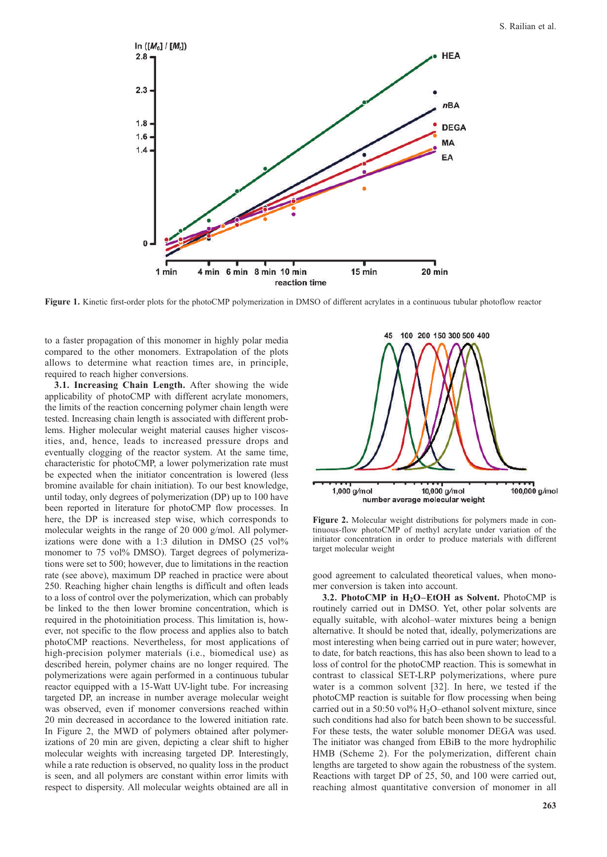

Figure 1. Kinetic first-order plots for the photoCMP polymerization in DMSO of different acrylates in a continuous tubular photoflow reactor

to a faster propagation of this monomer in highly polar media compared to the other monomers. Extrapolation of the plots allows to determine what reaction times are, in principle, required to reach higher conversions.

3.1. Increasing Chain Length. After showing the wide applicability of photoCMP with different acrylate monomers, the limits of the reaction concerning polymer chain length were tested. Increasing chain length is associated with different problems. Higher molecular weight material causes higher viscosities, and, hence, leads to increased pressure drops and eventually clogging of the reactor system. At the same time, characteristic for photoCMP, a lower polymerization rate must be expected when the initiator concentration is lowered (less bromine available for chain initiation). To our best knowledge, until today, only degrees of polymerization (DP) up to 100 have been reported in literature for photoCMP flow processes. In here, the DP is increased step wise, which corresponds to molecular weights in the range of 20 000 g/mol. All polymerizations were done with a 1:3 dilution in DMSO (25 vol<sup>%</sup>) monomer to 75 vol% DMSO). Target degrees of polymerizations were set to 500; however, due to limitations in the reaction rate (see above), maximum DP reached in practice were about 250. Reaching higher chain lengths is difficult and often leads to a loss of control over the polymerization, which can probably be linked to the then lower bromine concentration, which is required in the photoinitiation process. This limitation is, however, not specific to the flow process and applies also to batch photoCMP reactions. Nevertheless, for most applications of high-precision polymer materials (i.e., biomedical use) as described herein, polymer chains are no longer required. The polymerizations were again performed in a continuous tubular reactor equipped with a 15-Watt UV-light tube. For increasing targeted DP, an increase in number average molecular weight was observed, even if monomer conversions reached within 20 min decreased in accordance to the lowered initiation rate. In Figure 2, the MWD of polymers obtained after polymerizations of 20 min are given, depicting a clear shift to higher molecular weights with increasing targeted DP. Interestingly, while a rate reduction is observed, no quality loss in the product is seen, and all polymers are constant within error limits with respect to dispersity. All molecular weights obtained are all in



Figure 2. Molecular weight distributions for polymers made in continuous-flow photoCMP of methyl acrylate under variation of the initiator concentration in order to produce materials with different target molecular weight

good agreement to calculated theoretical values, when monomer conversion is taken into account.

3.2. PhotoCMP in  $H_2O$ –EtOH as Solvent. PhotoCMP is routinely carried out in DMSO. Yet, other polar solvents are equally suitable, with alcohol–water mixtures being a benign alternative. It should be noted that, ideally, polymerizations are most interesting when being carried out in pure water; however, to date, for batch reactions, this has also been shown to lead to a loss of control for the photoCMP reaction. This is somewhat in contrast to classical SET-LRP polymerizations, where pure water is a common solvent [32]. In here, we tested if the photoCMP reaction is suitable for flow processing when being carried out in a 50:50 vol%  $H_2O$ –ethanol solvent mixture, since such conditions had also for batch been shown to be successful. For these tests, the water soluble monomer DEGA was used. The initiator was changed from EBiB to the more hydrophilic HMB (Scheme 2). For the polymerization, different chain lengths are targeted to show again the robustness of the system. Reactions with target DP of 25, 50, and 100 were carried out, reaching almost quantitative conversion of monomer in all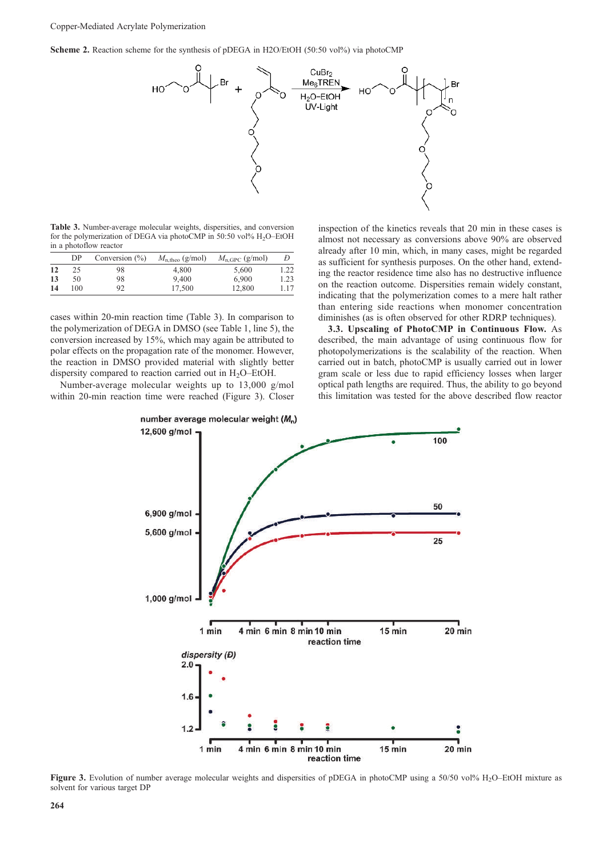Scheme 2. Reaction scheme for the synthesis of pDEGA in H2O/EtOH (50:50 vol%) via photoCMP



Table 3. Number-average molecular weights, dispersities, and conversion for the polymerization of DEGA via photoCMP in 50:50 vol% H<sub>2</sub>O–EtOH in a photoflow reactor

|    | DP  | Conversion $(\% )$ | $M_{\rm n,theo}$ (g/mol) | $M_{\rm n, GPC}$ (g/mol) | Đ)   |
|----|-----|--------------------|--------------------------|--------------------------|------|
| 12 | 25  | 98                 | 4.800                    | 5.600                    | 1.22 |
| 13 | 50  | 98                 | 9.400                    | 6.900                    | 1.23 |
| 14 | 100 | 92                 | 17.500                   | 12.800                   | 1.17 |

cases within 20-min reaction time (Table 3). In comparison to the polymerization of DEGA in DMSO (see Table 1, line 5), the conversion increased by 15%, which may again be attributed to polar effects on the propagation rate of the monomer. However, the reaction in DMSO provided material with slightly better dispersity compared to reaction carried out in  $H_2O$ –EtOH.

Number-average molecular weights up to 13,000 g/mol within 20-min reaction time were reached (Figure 3). Closer

inspection of the kinetics reveals that 20 min in these cases is almost not necessary as conversions above 90% are observed already after 10 min, which, in many cases, might be regarded as sufficient for synthesis purposes. On the other hand, extending the reactor residence time also has no destructive influence on the reaction outcome. Dispersities remain widely constant, indicating that the polymerization comes to a mere halt rather than entering side reactions when monomer concentration diminishes (as is often observed for other RDRP techniques).

3.3. Upscaling of PhotoCMP in Continuous Flow. As described, the main advantage of using continuous flow for photopolymerizations is the scalability of the reaction. When carried out in batch, photoCMP is usually carried out in lower gram scale or less due to rapid efficiency losses when larger optical path lengths are required. Thus, the ability to go beyond this limitation was tested for the above described flow reactor



Figure 3. Evolution of number average molecular weights and dispersities of pDEGA in photoCMP using a 50/50 vol% H<sub>2</sub>O–EtOH mixture as solvent for various target DP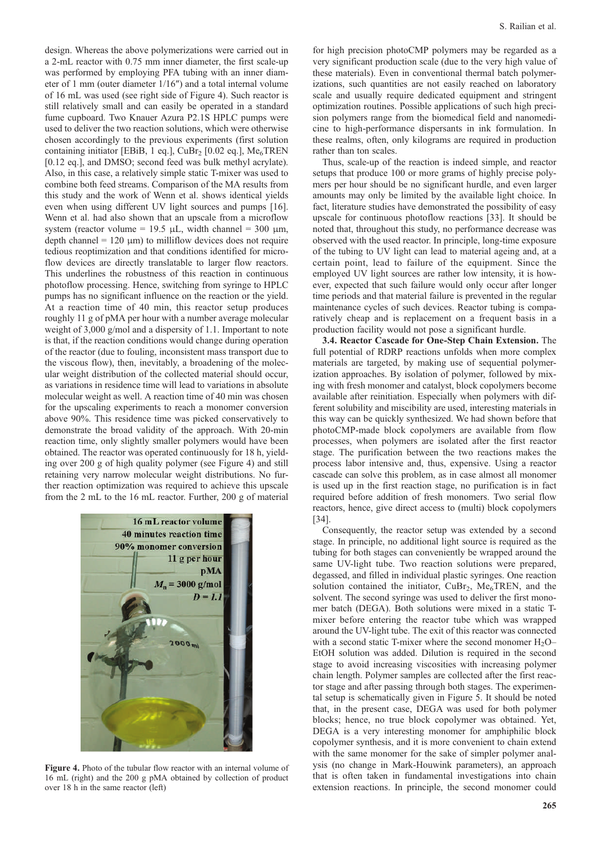design. Whereas the above polymerizations were carried out in a 2-mL reactor with 0.75 mm inner diameter, the first scale-up was performed by employing PFA tubing with an inner diameter of 1 mm (outer diameter 1/16″) and a total internal volume of 16 mL was used (see right side of Figure 4). Such reactor is still relatively small and can easily be operated in a standard fume cupboard. Two Knauer Azura P2.1S HPLC pumps were used to deliver the two reaction solutions, which were otherwise chosen accordingly to the previous experiments (first solution containing initiator [EBiB, 1 eq.],  $CuBr<sub>2</sub>$  [0.02 eq.], Me<sub>6</sub>TREN [0.12 eq.], and DMSO; second feed was bulk methyl acrylate). Also, in this case, a relatively simple static T-mixer was used to combine both feed streams. Comparison of the MA results from this study and the work of Wenn et al. shows identical yields even when using different UV light sources and pumps [16]. Wenn et al. had also shown that an upscale from a microflow system (reactor volume = 19.5  $\mu$ L, width channel = 300  $\mu$ m, depth channel  $= 120 \mu m$ ) to milliflow devices does not require tedious reoptimization and that conditions identified for microflow devices are directly translatable to larger flow reactors. This underlines the robustness of this reaction in continuous photoflow processing. Hence, switching from syringe to HPLC pumps has no significant influence on the reaction or the yield. At a reaction time of 40 min, this reactor setup produces roughly 11 g of pMA per hour with a number average molecular weight of 3,000 g/mol and a dispersity of 1.1. Important to note is that, if the reaction conditions would change during operation of the reactor (due to fouling, inconsistent mass transport due to the viscous flow), then, inevitably, a broadening of the molecular weight distribution of the collected material should occur, as variations in residence time will lead to variations in absolute molecular weight as well. A reaction time of 40 min was chosen for the upscaling experiments to reach a monomer conversion above 90%. This residence time was picked conservatively to demonstrate the broad validity of the approach. With 20-min reaction time, only slightly smaller polymers would have been obtained. The reactor was operated continuously for 18 h, yielding over 200 g of high quality polymer (see Figure 4) and still retaining very narrow molecular weight distributions. No further reaction optimization was required to achieve this upscale from the 2 mL to the 16 mL reactor. Further, 200 g of material



Figure 4. Photo of the tubular flow reactor with an internal volume of 16 mL (right) and the 200 g pMA obtained by collection of product over 18 h in the same reactor (left)

for high precision photoCMP polymers may be regarded as a very significant production scale (due to the very high value of these materials). Even in conventional thermal batch polymerizations, such quantities are not easily reached on laboratory scale and usually require dedicated equipment and stringent optimization routines. Possible applications of such high precision polymers range from the biomedical field and nanomedicine to high-performance dispersants in ink formulation. In these realms, often, only kilograms are required in production rather than ton scales.

Thus, scale-up of the reaction is indeed simple, and reactor setups that produce 100 or more grams of highly precise polymers per hour should be no significant hurdle, and even larger amounts may only be limited by the available light choice. In fact, literature studies have demonstrated the possibility of easy upscale for continuous photoflow reactions [33]. It should be noted that, throughout this study, no performance decrease was observed with the used reactor. In principle, long-time exposure of the tubing to UV light can lead to material ageing and, at a certain point, lead to failure of the equipment. Since the employed UV light sources are rather low intensity, it is however, expected that such failure would only occur after longer time periods and that material failure is prevented in the regular maintenance cycles of such devices. Reactor tubing is comparatively cheap and is replacement on a frequent basis in a production facility would not pose a significant hurdle.

3.4. Reactor Cascade for One-Step Chain Extension. The full potential of RDRP reactions unfolds when more complex materials are targeted, by making use of sequential polymerization approaches. By isolation of polymer, followed by mixing with fresh monomer and catalyst, block copolymers become available after reinitiation. Especially when polymers with different solubility and miscibility are used, interesting materials in this way can be quickly synthesized. We had shown before that photoCMP-made block copolymers are available from flow processes, when polymers are isolated after the first reactor stage. The purification between the two reactions makes the process labor intensive and, thus, expensive. Using a reactor cascade can solve this problem, as in case almost all monomer is used up in the first reaction stage, no purification is in fact required before addition of fresh monomers. Two serial flow reactors, hence, give direct access to (multi) block copolymers [34].

Consequently, the reactor setup was extended by a second stage. In principle, no additional light source is required as the tubing for both stages can conveniently be wrapped around the same UV-light tube. Two reaction solutions were prepared, degassed, and filled in individual plastic syringes. One reaction solution contained the initiator,  $CuBr<sub>2</sub>$ ,  $Me<sub>6</sub>TREN$ , and the solvent. The second syringe was used to deliver the first monomer batch (DEGA). Both solutions were mixed in a static Tmixer before entering the reactor tube which was wrapped around the UV-light tube. The exit of this reactor was connected with a second static T-mixer where the second monomer  $H_2O$ – EtOH solution was added. Dilution is required in the second stage to avoid increasing viscosities with increasing polymer chain length. Polymer samples are collected after the first reactor stage and after passing through both stages. The experimental setup is schematically given in Figure 5. It should be noted that, in the present case, DEGA was used for both polymer blocks; hence, no true block copolymer was obtained. Yet, DEGA is a very interesting monomer for amphiphilic block copolymer synthesis, and it is more convenient to chain extend with the same monomer for the sake of simpler polymer analysis (no change in Mark-Houwink parameters), an approach that is often taken in fundamental investigations into chain extension reactions. In principle, the second monomer could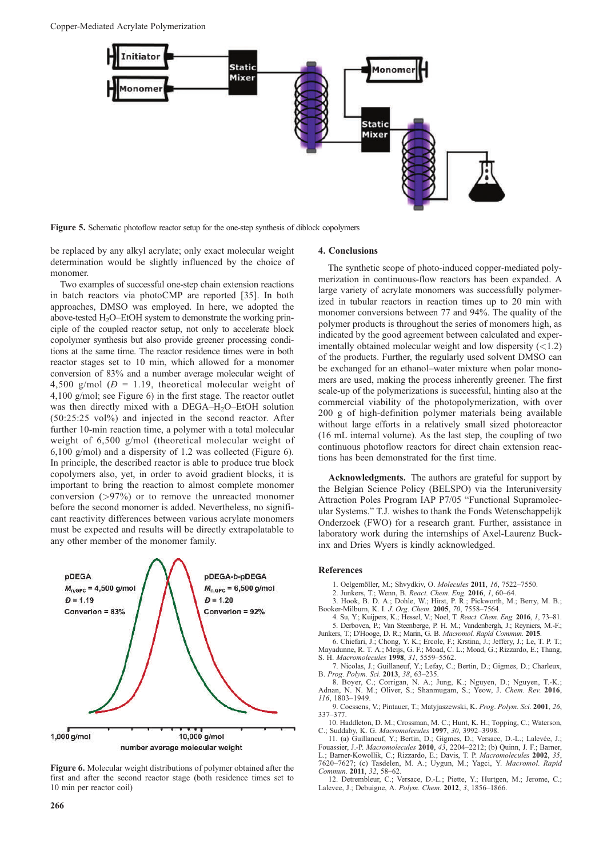Copper-Mediated Acrylate Polymerization



Figure 5. Schematic photoflow reactor setup for the one-step synthesis of diblock copolymers

be replaced by any alkyl acrylate; only exact molecular weight determination would be slightly influenced by the choice of monomer.

Two examples of successful one-step chain extension reactions in batch reactors via photoCMP are reported [35]. In both approaches, DMSO was employed. In here, we adopted the above-tested  $H_2O$ –EtOH system to demonstrate the working principle of the coupled reactor setup, not only to accelerate block copolymer synthesis but also provide greener processing conditions at the same time. The reactor residence times were in both reactor stages set to 10 min, which allowed for a monomer conversion of 83% and a number average molecular weight of 4,500 g/mol ( $D = 1.19$ , theoretical molecular weight of 4,100 g/mol; see Figure 6) in the first stage. The reactor outlet was then directly mixed with a DEGA–H<sub>2</sub>O–EtOH solution (50:25:25 vol%) and injected in the second reactor. After further 10-min reaction time, a polymer with a total molecular weight of 6,500 g/mol (theoretical molecular weight of 6,100 g/mol) and a dispersity of 1.2 was collected (Figure 6). In principle, the described reactor is able to produce true block copolymers also, yet, in order to avoid gradient blocks, it is important to bring the reaction to almost complete monomer conversion  $(>\frac{97}{%}$  or to remove the unreacted monomer before the second monomer is added. Nevertheless, no significant reactivity differences between various acrylate monomers must be expected and results will be directly extrapolatable to any other member of the monomer family.



number average molecular weight

Figure 6. Molecular weight distributions of polymer obtained after the first and after the second reactor stage (both residence times set to 10 min per reactor coil)

## 4. Conclusions

The synthetic scope of photo-induced copper-mediated polymerization in continuous-flow reactors has been expanded. A large variety of acrylate monomers was successfully polymerized in tubular reactors in reaction times up to 20 min with monomer conversions between 77 and 94%. The quality of the polymer products is throughout the series of monomers high, as indicated by the good agreement between calculated and experimentally obtained molecular weight and low dispersity  $(<1.2)$ of the products. Further, the regularly used solvent DMSO can be exchanged for an ethanol–water mixture when polar monomers are used, making the process inherently greener. The first scale-up of the polymerizations is successful, hinting also at the commercial viability of the photopolymerization, with over 200 g of high-definition polymer materials being available without large efforts in a relatively small sized photoreactor (16 mL internal volume). As the last step, the coupling of two continuous photoflow reactors for direct chain extension reactions has been demonstrated for the first time.

Acknowledgments. The authors are grateful for support by the Belgian Science Policy (BELSPO) via the Interuniversity Attraction Poles Program IAP P7/05 "Functional Supramolecular Systems." T.J. wishes to thank the Fonds Wetenschappelijk Onderzoek (FWO) for a research grant. Further, assistance in laboratory work during the internships of Axel-Laurenz Buckinx and Dries Wyers is kindly acknowledged.

#### References

1. Oelgemöller, M.; Shvydkiv, O. Molecules 2011, 16, 7522–7550. 2. Junkers, T.; Wenn, B. React. Chem. Eng. 2016, 1, 60–64.

3. Hook, B. D. A.; Dohle, W.; Hirst, P. R.; Pickworth, M.; Berry, M. B.; Booker-Milburn, K. I. J. Org. Chem. 2005, 70, 7558–7564.

4. Su, Y.; Kuijpers, K.; Hessel, V.; Noel, T. React. Chem. Eng. 2016, 1, 73–81. 5. Derboven, P.; Van Steenberge, P. H. M.; Vandenbergh, J.; Reyniers, M.-F.; Junkers, T.; D'Hooge, D. R.; Marin, G. B. Macromol. Rapid Commun. 2015.

6. Chiefari, J.; Chong, Y. K.; Ercole, F.; Krstina, J.; Jeffery, J.; Le, T. P. T.; Mayadunne, R. T. A.; Meijs, G. F.; Moad, C. L.; Moad, G.; Rizzardo, E.; Thang, S. H. *Macromolecules* 1998, 31, 5559–5562.

7. Nicolas, J.; Guillaneuf, Y.; Lefay, C.; Bertin, D.; Gigmes, D.; Charleux, B. Prog. Polym. Sci. 2013, 38, 63–235.

8. Boyer, C.; Corrigan, N. A.; Jung, K.; Nguyen, D.; Nguyen, T.-K.; Adnan, N. N. M.; Oliver, S.; Shanmugam, S.; Yeow, J. Chem. Rev. 2016,

116, 1803–1949. 9. Coessens, V.; Pintauer, T.; Matyjaszewski, K. Prog. Polym. Sci. 2001, 26, 337–377.

10. Haddleton, D. M.; Crossman, M. C.; Hunt, K. H.; Topping, C.; Waterson, C.; Suddaby, K. G. Macromolecules 1997, 30, 3992–3998.

11. (a) Guillaneuf, Y.; Bertin, D.; Gigmes, D.; Versace, D.-L.; Lalevée, J.; Fouassier, J.-P. *Macromolecules* 2010, 43, 2204–2212; (b) Quinn, J. F.; Barner, L.; Barner, Anwollik, C.; Rizzardo, E.; Davis, T. P. *Macromolecules* 2002, 35, 7620–7627; (c) Tasdelen, M. A.; Uygun, M.; Yagci, Y. Macromol. Rapid Commun. 2011, 32, 58–62.

12. Detrembleur, C.; Versace, D.-L.; Piette, Y.; Hurtgen, M.; Jerome, C.; Lalevee, J.; Debuigne, A. Polym. Chem. 2012, 3, 1856–1866.